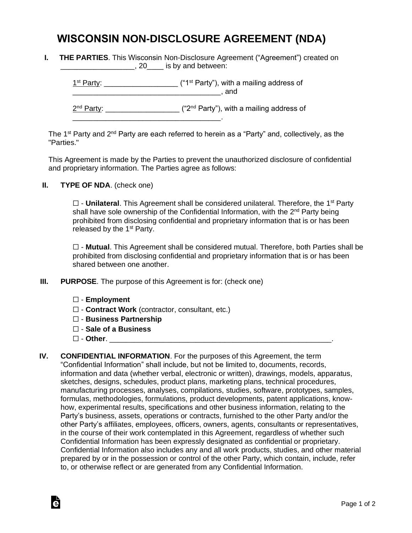## **WISCONSIN NON-DISCLOSURE AGREEMENT (NDA)**

**I. THE PARTIES**. This Wisconsin Non-Disclosure Agreement ("Agreement") created on \_\_\_\_\_\_\_\_\_\_\_\_\_\_\_, 20\_\_\_\_\_ is by and between:

 $1<sup>st</sup> Party: _______$  $\blacksquare$  and 2<sup>nd</sup> Party: \_\_\_\_\_\_\_\_\_\_\_\_\_\_\_\_\_\_\_\_ ("2<sup>nd</sup> Party"), with a mailing address of

The 1<sup>st</sup> Party and 2<sup>nd</sup> Party are each referred to herein as a "Party" and, collectively, as the "Parties."

This Agreement is made by the Parties to prevent the unauthorized disclosure of confidential and proprietary information. The Parties agree as follows:

**II. TYPE OF NDA**. (check one)

□ - **Unilateral**. This Agreement shall be considered unilateral. Therefore, the 1<sup>st</sup> Party shall have sole ownership of the Confidential Information, with the 2<sup>nd</sup> Party being prohibited from disclosing confidential and proprietary information that is or has been released by the  $1<sup>st</sup>$  Party.

☐ - **Mutual**. This Agreement shall be considered mutual. Therefore, both Parties shall be prohibited from disclosing confidential and proprietary information that is or has been shared between one another.

**III. PURPOSE**. The purpose of this Agreement is for: (check one)

\_\_\_\_\_\_\_\_\_\_\_\_\_\_\_\_\_\_\_\_\_\_\_\_\_\_\_\_\_\_\_\_\_\_\_\_.

- ☐ **Employment**
- ☐ **Contract Work** (contractor, consultant, etc.)
- ☐ **Business Partnership**
- ☐ **Sale of a Business**
- ☐ **Other**. \_\_\_\_\_\_\_\_\_\_\_\_\_\_\_\_\_\_\_\_\_\_\_\_\_\_\_\_\_\_\_\_\_\_\_\_\_\_\_\_\_\_\_\_\_\_\_\_\_\_\_\_\_\_.

Ġ

**IV. CONFIDENTIAL INFORMATION**. For the purposes of this Agreement, the term "Confidential Information" shall include, but not be limited to, documents, records, information and data (whether verbal, electronic or written), drawings, models, apparatus, sketches, designs, schedules, product plans, marketing plans, technical procedures, manufacturing processes, analyses, compilations, studies, software, prototypes, samples, formulas, methodologies, formulations, product developments, patent applications, knowhow, experimental results, specifications and other business information, relating to the Party's business, assets, operations or contracts, furnished to the other Party and/or the other Party's affiliates, employees, officers, owners, agents, consultants or representatives, in the course of their work contemplated in this Agreement, regardless of whether such Confidential Information has been expressly designated as confidential or proprietary. Confidential Information also includes any and all work products, studies, and other material prepared by or in the possession or control of the other Party, which contain, include, refer to, or otherwise reflect or are generated from any Confidential Information.